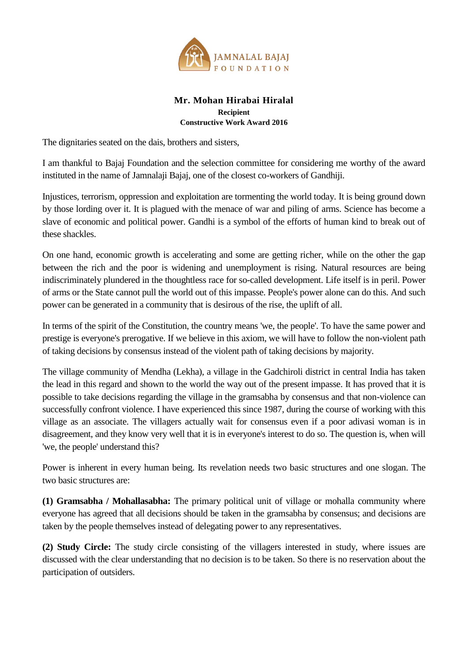

## **Mr. Mohan Hirabai Hiralal Recipient Constructive Work Award 2016**

The dignitaries seated on the dais, brothers and sisters,

I am thankful to Bajaj Foundation and the selection committee for considering me worthy of the award instituted in the name of Jamnalaji Bajaj, one of the closest co-workers of Gandhiji.

Injustices, terrorism, oppression and exploitation are tormenting the world today. It is being ground down by those lording over it. It is plagued with the menace of war and piling of arms. Science has become a slave of economic and political power. Gandhi is a symbol of the efforts of human kind to break out of these shackles.

On one hand, economic growth is accelerating and some are getting richer, while on the other the gap between the rich and the poor is widening and unemployment is rising. Natural resources are being indiscriminately plundered in the thoughtless race for so-called development. Life itself is in peril. Power of arms or the State cannot pull the world out of this impasse. People's power alone can do this. And such power can be generated in a community that is desirous of the rise, the uplift of all.

In terms of the spirit of the Constitution, the country means 'we, the people'. To have the same power and prestige is everyone's prerogative. If we believe in this axiom, we will have to follow the non-violent path of taking decisions by consensus instead of the violent path of taking decisions by majority.

The village community of Mendha (Lekha), a village in the Gadchiroli district in central India has taken the lead in this regard and shown to the world the way out of the present impasse. It has proved that it is possible to take decisions regarding the village in the gramsabha by consensus and that non-violence can successfully confront violence. I have experienced this since 1987, during the course of working with this village as an associate. The villagers actually wait for consensus even if a poor adivasi woman is in disagreement, and they know very well that it is in everyone's interest to do so. The question is, when will 'we, the people' understand this?

Power is inherent in every human being. Its revelation needs two basic structures and one slogan. The two basic structures are:

**(1) Gramsabha / Mohallasabha:** The primary political unit of village or mohalla community where everyone has agreed that all decisions should be taken in the gramsabha by consensus; and decisions are taken by the people themselves instead of delegating power to any representatives.

**(2) Study Circle:** The study circle consisting of the villagers interested in study, where issues are discussed with the clear understanding that no decision is to be taken. So there is no reservation about the participation of outsiders.